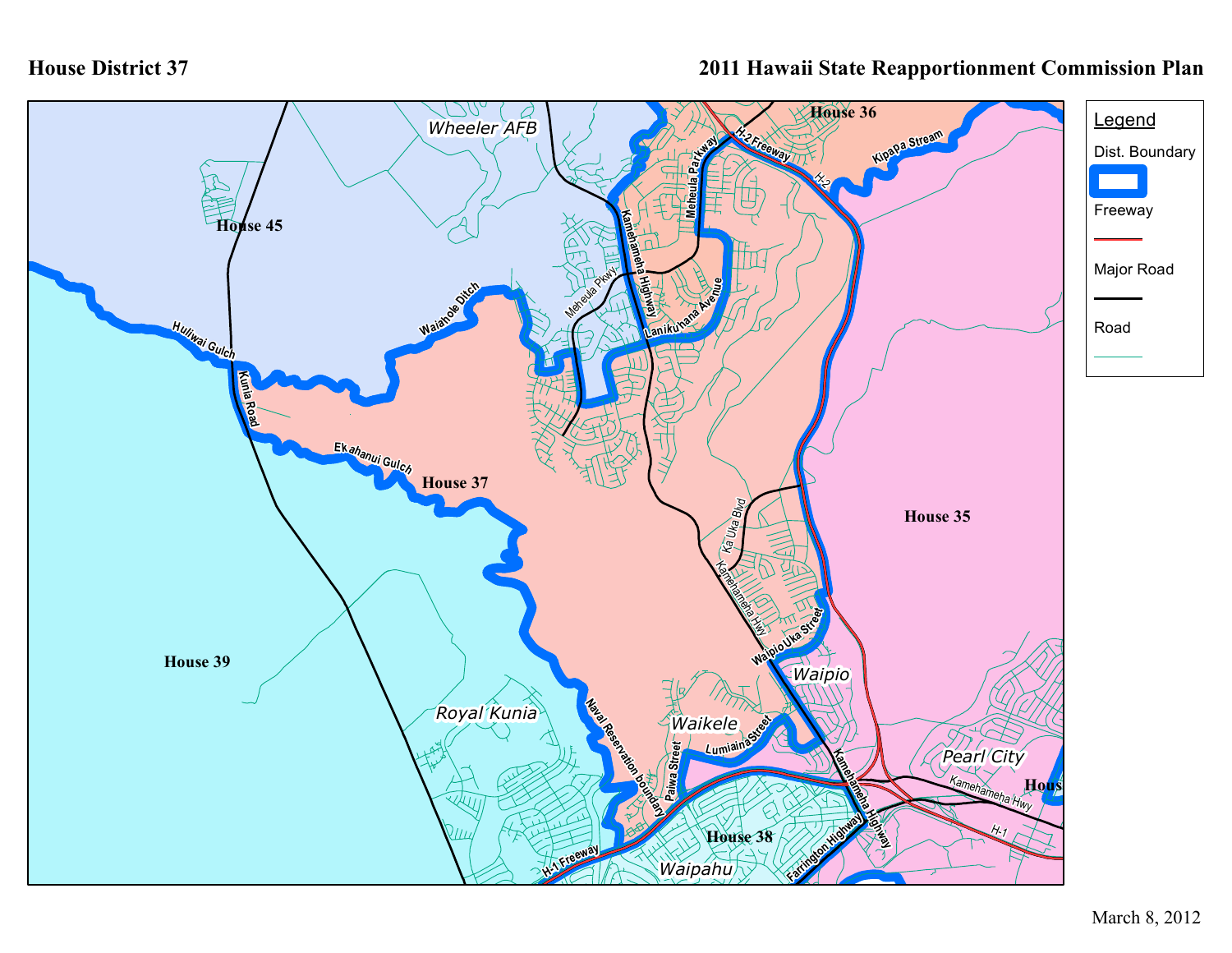## **House District 37**

## **2011 Hawaii State Reapportionment Commission Plan**